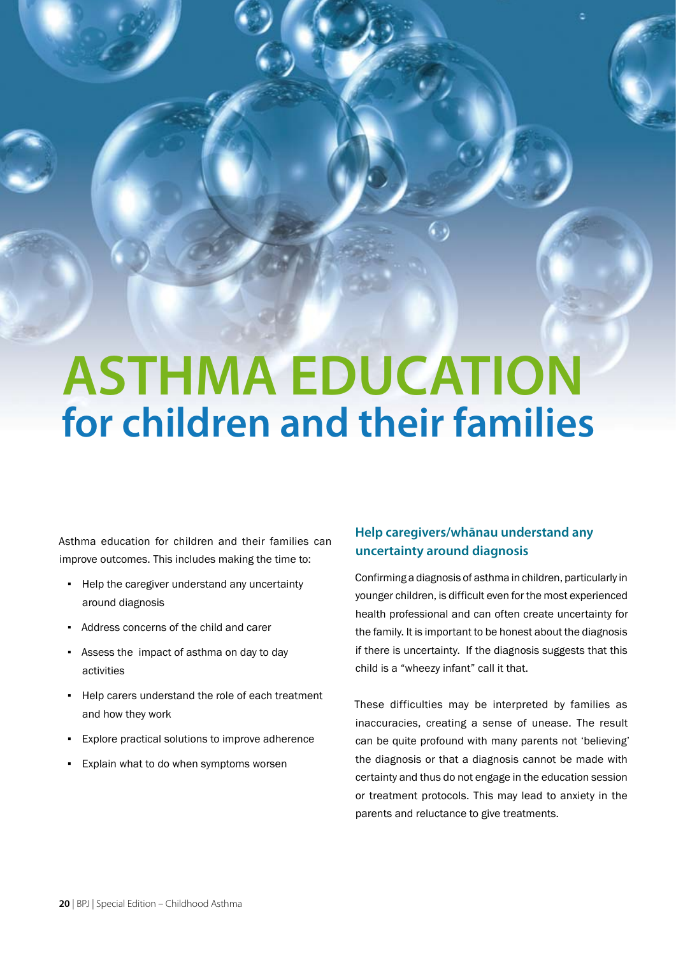# **ASTHMA EDUCATION for children and their families**

Asthma education for children and their families can improve outcomes. This includes making the time to:

- Help the caregiver understand any uncertainty around diagnosis
- Address concerns of the child and carer
- Assess the impact of asthma on day to day activities
- Help carers understand the role of each treatment and how they work
- Explore practical solutions to improve adherence
- Explain what to do when symptoms worsen

# **Help caregivers/whānau understand any uncertainty around diagnosis**

Confirming a diagnosis of asthma in children, particularly in younger children, is difficult even for the most experienced health professional and can often create uncertainty for the family. It is important to be honest about the diagnosis if there is uncertainty. If the diagnosis suggests that this child is a "wheezy infant" call it that.

These difficulties may be interpreted by families as inaccuracies, creating a sense of unease. The result can be quite profound with many parents not 'believing' the diagnosis or that a diagnosis cannot be made with certainty and thus do not engage in the education session or treatment protocols. This may lead to anxiety in the parents and reluctance to give treatments.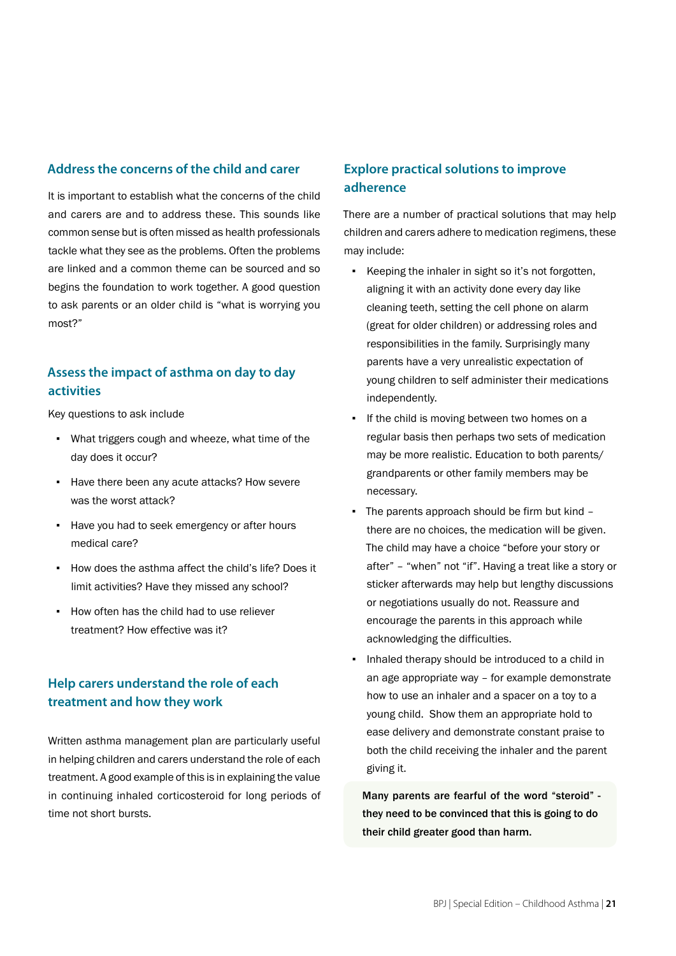#### **Address the concerns of the child and carer**

It is important to establish what the concerns of the child and carers are and to address these. This sounds like common sense but is often missed as health professionals tackle what they see as the problems. Often the problems are linked and a common theme can be sourced and so begins the foundation to work together. A good question to ask parents or an older child is "what is worrying you most?"

# **Assess the impact of asthma on day to day activities**

Key questions to ask include

- What triggers cough and wheeze, what time of the day does it occur?
- Have there been any acute attacks? How severe was the worst attack?
- Have you had to seek emergency or after hours medical care?
- How does the asthma affect the child's life? Does it limit activities? Have they missed any school?
- How often has the child had to use reliever treatment? How effective was it?

# **Help carers understand the role of each treatment and how they work**

Written asthma management plan are particularly useful in helping children and carers understand the role of each treatment. A good example of this is in explaining the value in continuing inhaled corticosteroid for long periods of time not short bursts.

# **Explore practical solutions to improve adherence**

There are a number of practical solutions that may help children and carers adhere to medication regimens, these may include:

- Keeping the inhaler in sight so it's not forgotten, aligning it with an activity done every day like cleaning teeth, setting the cell phone on alarm (great for older children) or addressing roles and responsibilities in the family. Surprisingly many parents have a very unrealistic expectation of young children to self administer their medications independently.
- If the child is moving between two homes on a regular basis then perhaps two sets of medication may be more realistic. Education to both parents/ grandparents or other family members may be necessary.
- The parents approach should be firm but kind there are no choices, the medication will be given. The child may have a choice "before your story or after" – "when" not "if". Having a treat like a story or sticker afterwards may help but lengthy discussions or negotiations usually do not. Reassure and encourage the parents in this approach while acknowledging the difficulties.
- Inhaled therapy should be introduced to a child in an age appropriate way – for example demonstrate how to use an inhaler and a spacer on a toy to a young child. Show them an appropriate hold to ease delivery and demonstrate constant praise to both the child receiving the inhaler and the parent giving it.

Many parents are fearful of the word "steroid" they need to be convinced that this is going to do their child greater good than harm.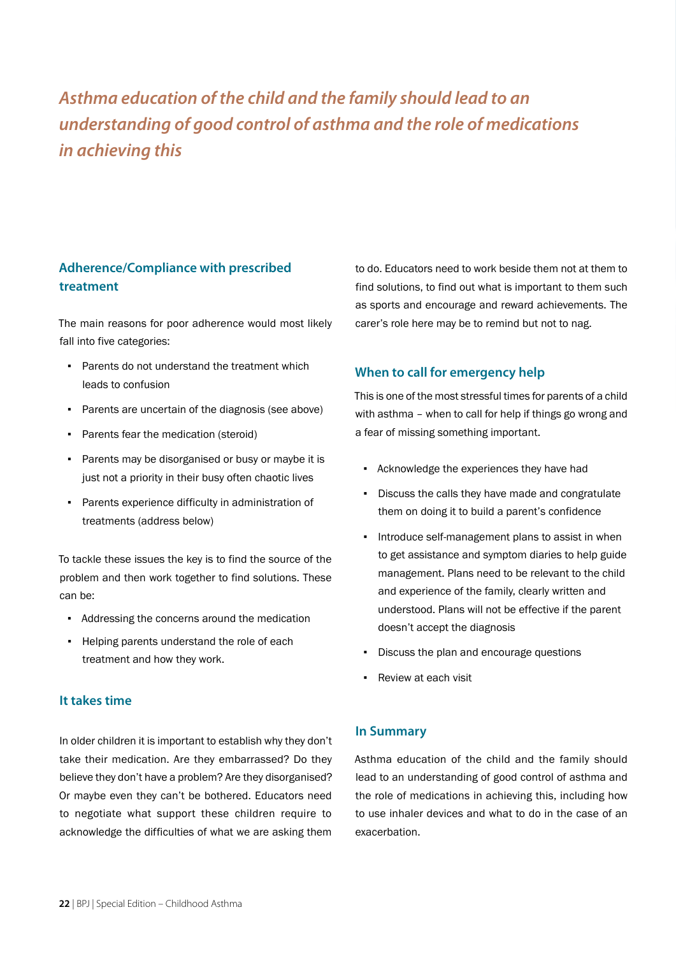# *Asthma education of the child and the family should lead to an understanding of good control of asthma and the role of medications in achieving this*

# **Adherence/Compliance with prescribed treatment**

The main reasons for poor adherence would most likely fall into five categories:

- Parents do not understand the treatment which leads to confusion
- Parents are uncertain of the diagnosis (see above)
- Parents fear the medication (steroid)
- Parents may be disorganised or busy or maybe it is just not a priority in their busy often chaotic lives
- Parents experience difficulty in administration of treatments (address below)

To tackle these issues the key is to find the source of the problem and then work together to find solutions. These can be:

- Addressing the concerns around the medication
- Helping parents understand the role of each treatment and how they work.

#### **It takes time**

In older children it is important to establish why they don't take their medication. Are they embarrassed? Do they believe they don't have a problem? Are they disorganised? Or maybe even they can't be bothered. Educators need to negotiate what support these children require to acknowledge the difficulties of what we are asking them to do. Educators need to work beside them not at them to find solutions, to find out what is important to them such as sports and encourage and reward achievements. The carer's role here may be to remind but not to nag.

#### **When to call for emergency help**

This is one of the most stressful times for parents of a child with asthma – when to call for help if things go wrong and a fear of missing something important.

- Acknowledge the experiences they have had
- Discuss the calls they have made and congratulate them on doing it to build a parent's confidence
- Introduce self-management plans to assist in when to get assistance and symptom diaries to help guide management. Plans need to be relevant to the child and experience of the family, clearly written and understood. Plans will not be effective if the parent doesn't accept the diagnosis
- Discuss the plan and encourage questions
- Review at each visit

#### **In Summary**

Asthma education of the child and the family should lead to an understanding of good control of asthma and the role of medications in achieving this, including how to use inhaler devices and what to do in the case of an exacerbation.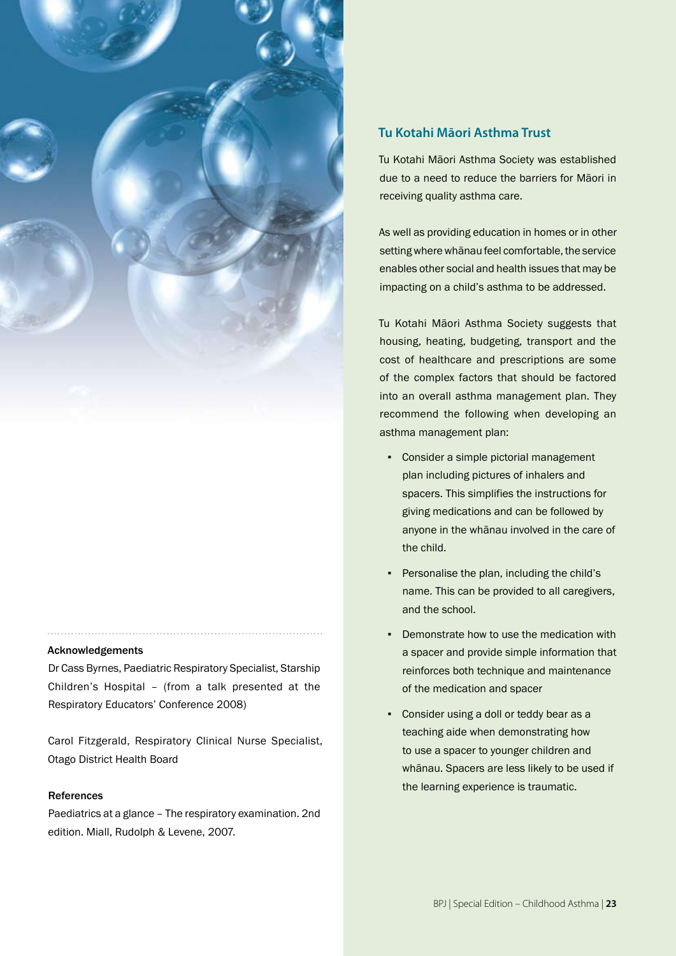

#### Acknowledgements

Dr Cass Byrnes, Paediatric Respiratory Specialist, Starship Children's Hospital – (from a talk presented at the Respiratory Educators' Conference 2008)

Carol Fitzgerald, Respiratory Clinical Nurse Specialist, Otago District Health Board

#### References

Paediatrics at a glance – The respiratory examination. 2nd edition. Miall, Rudolph & Levene, 2007.

#### **Tu Kotahi Māori Asthma Trust**

Tu Kotahi Māori Asthma Society was established due to a need to reduce the barriers for Māori in receiving quality asthma care.

As well as providing education in homes or in other setting where whānau feel comfortable, the service enables other social and health issues that may be impacting on a child's asthma to be addressed.

Tu Kotahi Māori Asthma Society suggests that housing, heating, budgeting, transport and the cost of healthcare and prescriptions are some of the complex factors that should be factored into an overall asthma management plan. They recommend the following when developing an asthma management plan:

- Consider a simple pictorial management plan including pictures of inhalers and spacers. This simplifies the instructions for giving medications and can be followed by anyone in the whānau involved in the care of the child.
- Personalise the plan, including the child's name. This can be provided to all caregivers, and the school.
- Demonstrate how to use the medication with a spacer and provide simple information that reinforces both technique and maintenance of the medication and spacer
- Consider using a doll or teddy bear as a teaching aide when demonstrating how to use a spacer to younger children and whānau. Spacers are less likely to be used if the learning experience is traumatic.